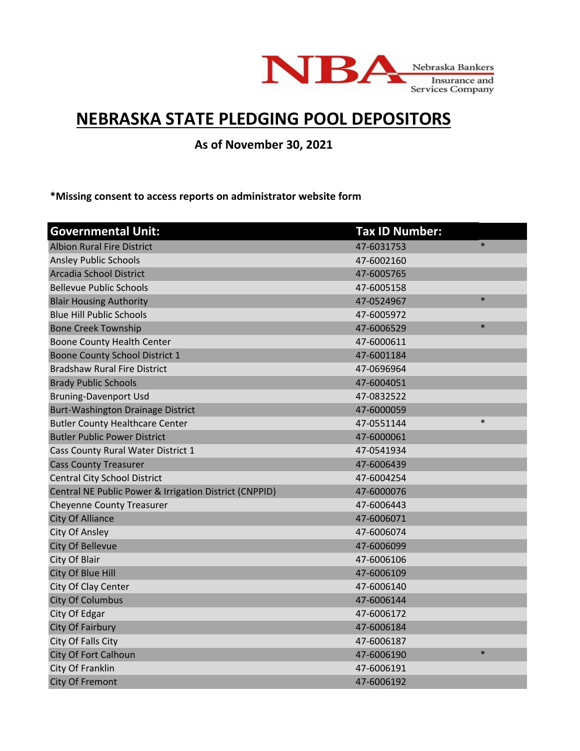

## **NEBRASKA STATE PLEDGING POOL DEPOSITORS**

**As of November 30, 2021**

**\*Missing consent to access reports on administrator website form**

| <b>Governmental Unit:</b>                              | <b>Tax ID Number:</b> |
|--------------------------------------------------------|-----------------------|
| <b>Albion Rural Fire District</b>                      | $\ast$<br>47-6031753  |
| <b>Ansley Public Schools</b>                           | 47-6002160            |
| Arcadia School District                                | 47-6005765            |
| <b>Bellevue Public Schools</b>                         | 47-6005158            |
| <b>Blair Housing Authority</b>                         | $\ast$<br>47-0524967  |
| <b>Blue Hill Public Schools</b>                        | 47-6005972            |
| <b>Bone Creek Township</b>                             | $\ast$<br>47-6006529  |
| Boone County Health Center                             | 47-6000611            |
| Boone County School District 1                         | 47-6001184            |
| <b>Bradshaw Rural Fire District</b>                    | 47-0696964            |
| <b>Brady Public Schools</b>                            | 47-6004051            |
| <b>Bruning-Davenport Usd</b>                           | 47-0832522            |
| <b>Burt-Washington Drainage District</b>               | 47-6000059            |
| <b>Butler County Healthcare Center</b>                 | $\ast$<br>47-0551144  |
| <b>Butler Public Power District</b>                    | 47-6000061            |
| Cass County Rural Water District 1                     | 47-0541934            |
| <b>Cass County Treasurer</b>                           | 47-6006439            |
| <b>Central City School District</b>                    | 47-6004254            |
| Central NE Public Power & Irrigation District (CNPPID) | 47-6000076            |
| <b>Cheyenne County Treasurer</b>                       | 47-6006443            |
| <b>City Of Alliance</b>                                | 47-6006071            |
| City Of Ansley                                         | 47-6006074            |
| City Of Bellevue                                       | 47-6006099            |
| City Of Blair                                          | 47-6006106            |
| City Of Blue Hill                                      | 47-6006109            |
| City Of Clay Center                                    | 47-6006140            |
| <b>City Of Columbus</b>                                | 47-6006144            |
| City Of Edgar                                          | 47-6006172            |
| City Of Fairbury                                       | 47-6006184            |
| City Of Falls City                                     | 47-6006187            |
| City Of Fort Calhoun                                   | $\ast$<br>47-6006190  |
| City Of Franklin                                       | 47-6006191            |
| <b>City Of Fremont</b>                                 | 47-6006192            |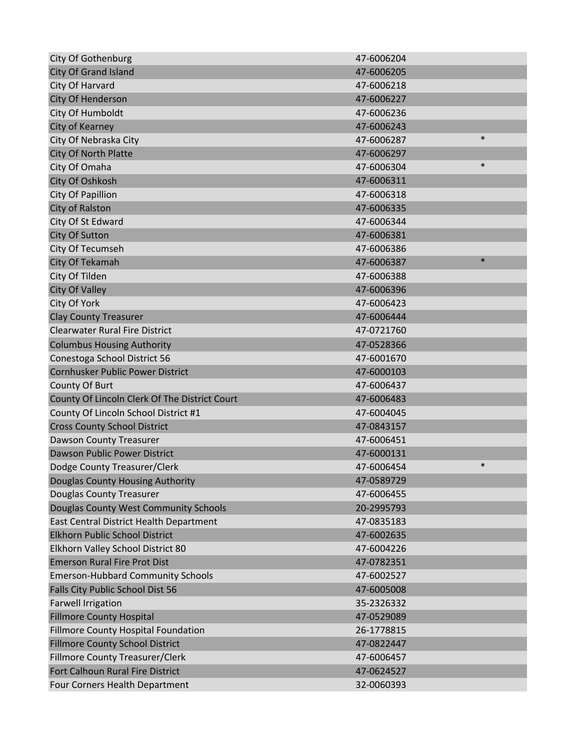| <b>City Of Gothenburg</b>                     | 47-6006204           |
|-----------------------------------------------|----------------------|
| <b>City Of Grand Island</b>                   | 47-6006205           |
| City Of Harvard                               | 47-6006218           |
| <b>City Of Henderson</b>                      | 47-6006227           |
| City Of Humboldt                              | 47-6006236           |
| City of Kearney                               | 47-6006243           |
| City Of Nebraska City                         | $\ast$<br>47-6006287 |
| City Of North Platte                          | 47-6006297           |
| City Of Omaha                                 | $\ast$<br>47-6006304 |
| City Of Oshkosh                               | 47-6006311           |
| City Of Papillion                             | 47-6006318           |
| City of Ralston                               | 47-6006335           |
| City Of St Edward                             | 47-6006344           |
| <b>City Of Sutton</b>                         | 47-6006381           |
| City Of Tecumseh                              | 47-6006386           |
| <b>City Of Tekamah</b>                        | $\ast$<br>47-6006387 |
| City Of Tilden                                | 47-6006388           |
| <b>City Of Valley</b>                         | 47-6006396           |
| City Of York                                  | 47-6006423           |
| <b>Clay County Treasurer</b>                  | 47-6006444           |
| <b>Clearwater Rural Fire District</b>         | 47-0721760           |
| <b>Columbus Housing Authority</b>             | 47-0528366           |
| Conestoga School District 56                  | 47-6001670           |
| Cornhusker Public Power District              | 47-6000103           |
| County Of Burt                                | 47-6006437           |
| County Of Lincoln Clerk Of The District Court | 47-6006483           |
| County Of Lincoln School District #1          | 47-6004045           |
| <b>Cross County School District</b>           | 47-0843157           |
| Dawson County Treasurer                       | 47-6006451           |
| Dawson Public Power District                  | 47-6000131           |
| Dodge County Treasurer/Clerk                  | $\ast$<br>47-6006454 |
| Douglas County Housing Authority              | 47-0589729           |
| <b>Douglas County Treasurer</b>               | 47-6006455           |
| Douglas County West Community Schools         | 20-2995793           |
| East Central District Health Department       | 47-0835183           |
| <b>Elkhorn Public School District</b>         | 47-6002635           |
| Elkhorn Valley School District 80             | 47-6004226           |
| <b>Emerson Rural Fire Prot Dist</b>           | 47-0782351           |
| <b>Emerson-Hubbard Community Schools</b>      | 47-6002527           |
| Falls City Public School Dist 56              | 47-6005008           |
| <b>Farwell Irrigation</b>                     | 35-2326332           |
| <b>Fillmore County Hospital</b>               | 47-0529089           |
| Fillmore County Hospital Foundation           | 26-1778815           |
| <b>Fillmore County School District</b>        | 47-0822447           |
| Fillmore County Treasurer/Clerk               | 47-6006457           |
| Fort Calhoun Rural Fire District              | 47-0624527           |
| Four Corners Health Department                | 32-0060393           |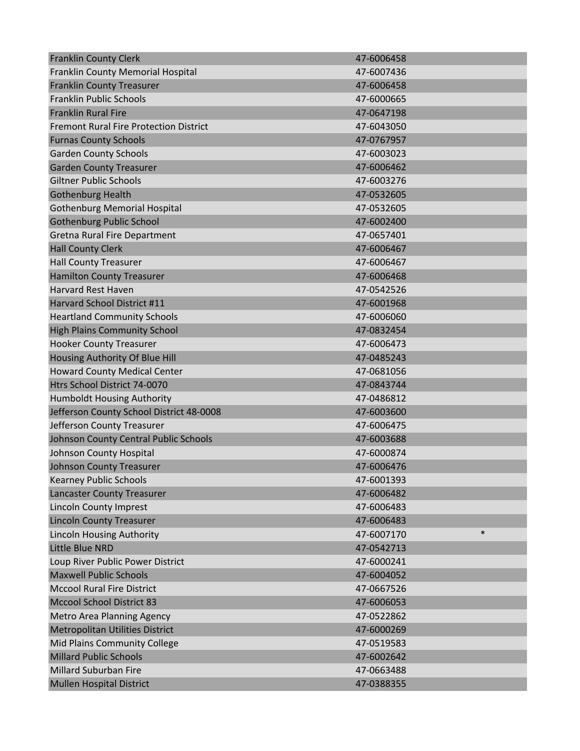| <b>Franklin County Clerk</b>                  | 47-6006458           |
|-----------------------------------------------|----------------------|
| Franklin County Memorial Hospital             | 47-6007436           |
| <b>Franklin County Treasurer</b>              | 47-6006458           |
| <b>Franklin Public Schools</b>                | 47-6000665           |
| <b>Franklin Rural Fire</b>                    | 47-0647198           |
| <b>Fremont Rural Fire Protection District</b> | 47-6043050           |
| <b>Furnas County Schools</b>                  | 47-0767957           |
| <b>Garden County Schools</b>                  | 47-6003023           |
| <b>Garden County Treasurer</b>                | 47-6006462           |
| <b>Giltner Public Schools</b>                 | 47-6003276           |
| <b>Gothenburg Health</b>                      | 47-0532605           |
| <b>Gothenburg Memorial Hospital</b>           | 47-0532605           |
| <b>Gothenburg Public School</b>               | 47-6002400           |
| Gretna Rural Fire Department                  | 47-0657401           |
| <b>Hall County Clerk</b>                      | 47-6006467           |
| <b>Hall County Treasurer</b>                  | 47-6006467           |
| <b>Hamilton County Treasurer</b>              | 47-6006468           |
| <b>Harvard Rest Haven</b>                     | 47-0542526           |
| Harvard School District #11                   | 47-6001968           |
| <b>Heartland Community Schools</b>            | 47-6006060           |
| <b>High Plains Community School</b>           | 47-0832454           |
| <b>Hooker County Treasurer</b>                | 47-6006473           |
| Housing Authority Of Blue Hill                | 47-0485243           |
| <b>Howard County Medical Center</b>           | 47-0681056           |
| Htrs School District 74-0070                  | 47-0843744           |
| Humboldt Housing Authority                    | 47-0486812           |
| Jefferson County School District 48-0008      | 47-6003600           |
| Jefferson County Treasurer                    | 47-6006475           |
| Johnson County Central Public Schools         | 47-6003688           |
| Johnson County Hospital                       | 47-6000874           |
| <b>Johnson County Treasurer</b>               | 47-6006476           |
| <b>Kearney Public Schools</b>                 | 47-6001393           |
| Lancaster County Treasurer                    | 47-6006482           |
| <b>Lincoln County Imprest</b>                 | 47-6006483           |
| <b>Lincoln County Treasurer</b>               | 47-6006483           |
| <b>Lincoln Housing Authority</b>              | $\ast$<br>47-6007170 |
| Little Blue NRD                               | 47-0542713           |
| Loup River Public Power District              | 47-6000241           |
| <b>Maxwell Public Schools</b>                 | 47-6004052           |
| <b>Mccool Rural Fire District</b>             | 47-0667526           |
| <b>Mccool School District 83</b>              | 47-6006053           |
| Metro Area Planning Agency                    | 47-0522862           |
| <b>Metropolitan Utilities District</b>        | 47-6000269           |
| Mid Plains Community College                  | 47-0519583           |
| <b>Millard Public Schools</b>                 | 47-6002642           |
| <b>Millard Suburban Fire</b>                  | 47-0663488           |
| <b>Mullen Hospital District</b>               | 47-0388355           |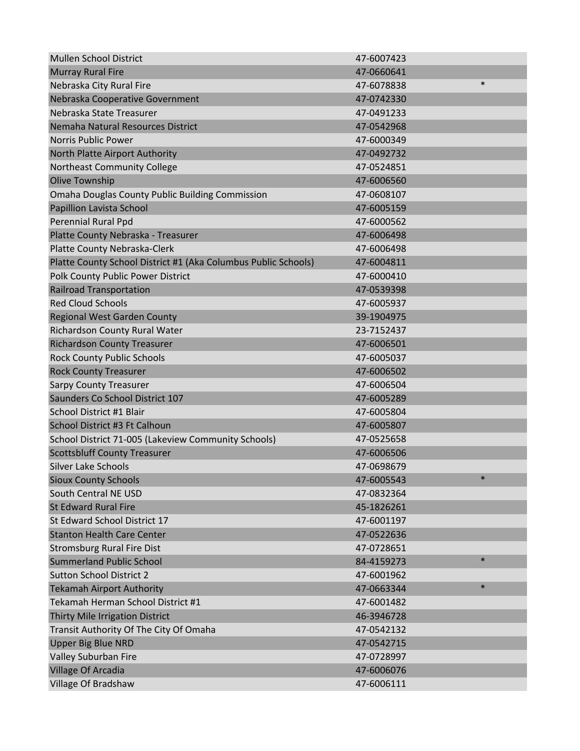| <b>Mullen School District</b>                                  | 47-6007423 |        |
|----------------------------------------------------------------|------------|--------|
| <b>Murray Rural Fire</b>                                       | 47-0660641 |        |
| Nebraska City Rural Fire                                       | 47-6078838 | $\ast$ |
| Nebraska Cooperative Government                                | 47-0742330 |        |
| Nebraska State Treasurer                                       | 47-0491233 |        |
| Nemaha Natural Resources District                              | 47-0542968 |        |
| <b>Norris Public Power</b>                                     | 47-6000349 |        |
| North Platte Airport Authority                                 | 47-0492732 |        |
| Northeast Community College                                    | 47-0524851 |        |
| <b>Olive Township</b>                                          | 47-6006560 |        |
| <b>Omaha Douglas County Public Building Commission</b>         | 47-0608107 |        |
| Papillion Lavista School                                       | 47-6005159 |        |
| Perennial Rural Ppd                                            | 47-6000562 |        |
| Platte County Nebraska - Treasurer                             | 47-6006498 |        |
| Platte County Nebraska-Clerk                                   | 47-6006498 |        |
| Platte County School District #1 (Aka Columbus Public Schools) | 47-6004811 |        |
| Polk County Public Power District                              | 47-6000410 |        |
| <b>Railroad Transportation</b>                                 | 47-0539398 |        |
| <b>Red Cloud Schools</b>                                       | 47-6005937 |        |
| <b>Regional West Garden County</b>                             | 39-1904975 |        |
| Richardson County Rural Water                                  | 23-7152437 |        |
| <b>Richardson County Treasurer</b>                             | 47-6006501 |        |
| <b>Rock County Public Schools</b>                              | 47-6005037 |        |
| <b>Rock County Treasurer</b>                                   | 47-6006502 |        |
| <b>Sarpy County Treasurer</b>                                  | 47-6006504 |        |
| Saunders Co School District 107                                | 47-6005289 |        |
| School District #1 Blair                                       | 47-6005804 |        |
| School District #3 Ft Calhoun                                  | 47-6005807 |        |
| School District 71-005 (Lakeview Community Schools)            | 47-0525658 |        |
| <b>Scottsbluff County Treasurer</b>                            | 47-6006506 |        |
| <b>Silver Lake Schools</b>                                     | 47-0698679 |        |
| <b>Sioux County Schools</b>                                    | 47-6005543 |        |
| South Central NE USD                                           | 47-0832364 |        |
| <b>St Edward Rural Fire</b>                                    | 45-1826261 |        |
| St Edward School District 17                                   | 47-6001197 |        |
| <b>Stanton Health Care Center</b>                              | 47-0522636 |        |
| <b>Stromsburg Rural Fire Dist</b>                              | 47-0728651 |        |
| <b>Summerland Public School</b>                                | 84-4159273 | $\ast$ |
| <b>Sutton School District 2</b>                                | 47-6001962 |        |
| <b>Tekamah Airport Authority</b>                               | 47-0663344 | $\ast$ |
| Tekamah Herman School District #1                              | 47-6001482 |        |
| Thirty Mile Irrigation District                                | 46-3946728 |        |
| Transit Authority Of The City Of Omaha                         | 47-0542132 |        |
| <b>Upper Big Blue NRD</b>                                      | 47-0542715 |        |
| Valley Suburban Fire                                           | 47-0728997 |        |
| Village Of Arcadia                                             | 47-6006076 |        |
| Village Of Bradshaw                                            | 47-6006111 |        |